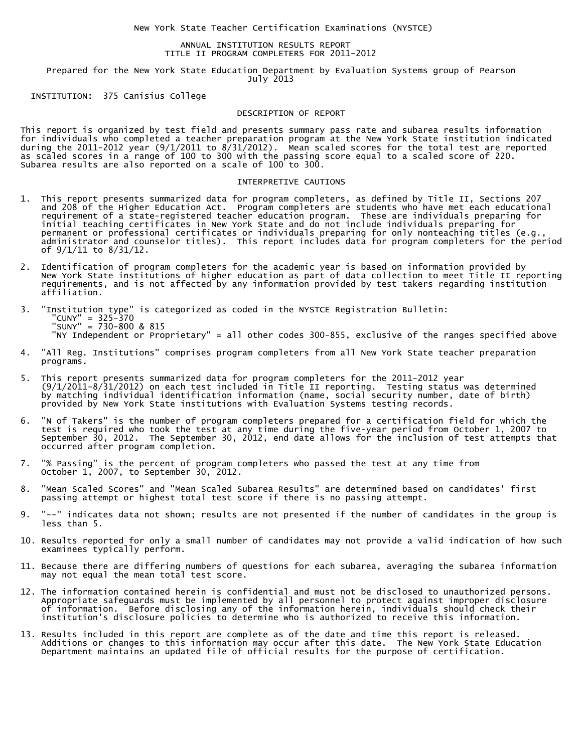New York State Teacher Certification Examinations (NYSTCE)

## ANNUAL INSTITUTION RESULTS REPORT TITLE II PROGRAM COMPLETERS FOR 2011-2012

 Prepared for the New York State Education Department by Evaluation Systems group of Pearson July 2013

INSTITUTION: 375 Canisius College

## DESCRIPTION OF REPORT

This report is organized by test field and presents summary pass rate and subarea results information for individuals who completed a teacher preparation program at the New York State institution indicated during the 2011-2012 year (9/1/2011 to 8/31/2012). Mean scaled scores for the total test are reported as scaled scores in a range of 100 to 300 with the passing score equal to a scaled score of 220. Subarea results are also reported on a scale of 100 to 300.

## INTERPRETIVE CAUTIONS

- 1. This report presents summarized data for program completers, as defined by Title II, Sections 207 and 208 of the Higher Education Act. Program completers are students who have met each educational requirement of a state-registered teacher education program. These are individuals preparing for initial teaching certificates in New York State and do not include individuals preparing for permanent or professional certificates or individuals preparing for only nonteaching titles (e.g., administrator and counselor titles). This report includes data for program completers for the period of 9/1/11 to 8/31/12.
- 2. Identification of program completers for the academic year is based on information provided by New York State institutions of higher education as part of data collection to meet Title II reporting requirements, and is not affected by any information provided by test takers regarding institution affiliation.
- 3. "Institution type" is categorized as coded in the NYSTCE Registration Bulletin: "CUNY" = 325-370 "SUNY" = 730-800 & 815 "NY Independent or Proprietary" = all other codes 300-855, exclusive of the ranges specified above
- 4. "All Reg. Institutions" comprises program completers from all New York State teacher preparation programs.
- 5. This report presents summarized data for program completers for the 2011-2012 year (9/1/2011-8/31/2012) on each test included in Title II reporting. Testing status was determined by matching individual identification information (name, social security number, date of birth) provided by New York State institutions with Evaluation Systems testing records.
- 6. "N of Takers" is the number of program completers prepared for a certification field for which the test is required who took the test at any time during the five-year period from October 1, 2007 to September 30, 2012. The September 30, 2012, end date allows for the inclusion of test attempts that occurred after program completion.
- 7. "% Passing" is the percent of program completers who passed the test at any time from October 1, 2007, to September 30, 2012.
- 8. "Mean Scaled Scores" and "Mean Scaled Subarea Results" are determined based on candidates' first passing attempt or highest total test score if there is no passing attempt.
- 9. "--" indicates data not shown; results are not presented if the number of candidates in the group is less than 5.
- 10. Results reported for only a small number of candidates may not provide a valid indication of how such examinees typically perform.
- 11. Because there are differing numbers of questions for each subarea, averaging the subarea information may not equal the mean total test score.
- 12. The information contained herein is confidential and must not be disclosed to unauthorized persons. Appropriate safeguards must be implemented by all personnel to protect against improper disclosure of information. Before disclosing any of the information herein, individuals should check their institution's disclosure policies to determine who is authorized to receive this information.
- 13. Results included in this report are complete as of the date and time this report is released. Additions or changes to this information may occur after this date. The New York State Education Department maintains an updated file of official results for the purpose of certification.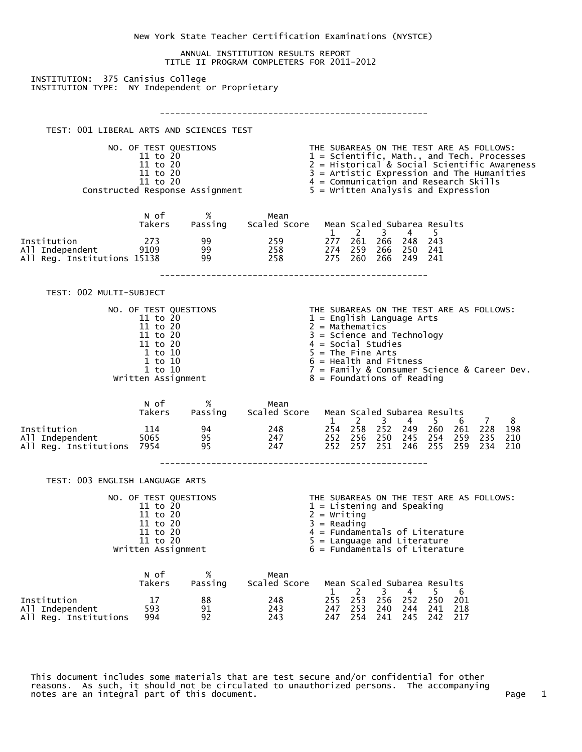|                                                                                      |                                                                                                                                      |                |                                                                                                                                                                                                                                                                                                                                                               | New York State Teacher Certification Examinations (NYSTCE)                                                                                                                                                                                                                                                                  |  |  |  |  |
|--------------------------------------------------------------------------------------|--------------------------------------------------------------------------------------------------------------------------------------|----------------|---------------------------------------------------------------------------------------------------------------------------------------------------------------------------------------------------------------------------------------------------------------------------------------------------------------------------------------------------------------|-----------------------------------------------------------------------------------------------------------------------------------------------------------------------------------------------------------------------------------------------------------------------------------------------------------------------------|--|--|--|--|
|                                                                                      |                                                                                                                                      |                | ANNUAL INSTITUTION RESULTS REPORT<br>TITLE II PROGRAM COMPLETERS FOR 2011-2012                                                                                                                                                                                                                                                                                |                                                                                                                                                                                                                                                                                                                             |  |  |  |  |
| INSTITUTION: 375 Canisius College<br>INSTITUTION TYPE: NY Independent or Proprietary |                                                                                                                                      |                |                                                                                                                                                                                                                                                                                                                                                               |                                                                                                                                                                                                                                                                                                                             |  |  |  |  |
|                                                                                      |                                                                                                                                      |                |                                                                                                                                                                                                                                                                                                                                                               |                                                                                                                                                                                                                                                                                                                             |  |  |  |  |
| TEST: 001 LIBERAL ARTS AND SCIENCES TEST                                             |                                                                                                                                      |                |                                                                                                                                                                                                                                                                                                                                                               |                                                                                                                                                                                                                                                                                                                             |  |  |  |  |
|                                                                                      | NO. OF TEST QUESTIONS<br>11 to 20<br>11 to 20<br>11 to 20<br>11 to 20                                                                |                | THE SUBAREAS ON THE TEST ARE AS FOLLOWS:<br>$1 =$ Scientific, Math., and Tech. Processes<br>$2 = Historical & Social Scientific Awareness$<br>$3$ = Artistic Expression and The Humanities<br>4 = Communication and Research Skills<br>11 to 20<br>Constructed Response Assignment 4 = Communication and Research Skil<br>5 = Written Analysis and Expression |                                                                                                                                                                                                                                                                                                                             |  |  |  |  |
|                                                                                      |                                                                                                                                      |                |                                                                                                                                                                                                                                                                                                                                                               |                                                                                                                                                                                                                                                                                                                             |  |  |  |  |
|                                                                                      | N of                                                                                                                                 | $\%$           | Mean<br>Takers Passing Scaled Score                                                                                                                                                                                                                                                                                                                           | Mean Scaled Subarea Results<br>1 2 3 4 5                                                                                                                                                                                                                                                                                    |  |  |  |  |
|                                                                                      |                                                                                                                                      |                |                                                                                                                                                                                                                                                                                                                                                               | 11 Institution 273 and 259 $\overline{277}$ $\overline{261}$ $\overline{266}$ $\overline{248}$ $\overline{243}$<br>11 Independent 9109 and 99 and 258 $\overline{274}$ $\overline{259}$ $\overline{258}$ $\overline{274}$ $\overline{259}$ $\overline{258}$ $\overline{275}$ $\overline{266}$ $\overline{250}$ $\overline{$ |  |  |  |  |
| TEST: 002 MULTI-SUBJECT                                                              |                                                                                                                                      |                |                                                                                                                                                                                                                                                                                                                                                               |                                                                                                                                                                                                                                                                                                                             |  |  |  |  |
|                                                                                      | NO. OF TEST QUESTIONS<br>11 to 20<br>11 to 20<br>11 to 20<br>11 to 20<br>1 to 10<br>$1$ to $10$<br>$1$ to $10$<br>Written Assignment |                |                                                                                                                                                                                                                                                                                                                                                               | THE SUBAREAS ON THE TEST ARE AS FOLLOWS:<br>$1 =$ English Language Arts<br>$2 = \text{Mathematics}$<br>$3 =$ Science and Technology<br>$4 = Social Studies$<br>$5 = The Fine Arts$<br>$6 =$ Health and Fitness<br>7 = Family & Consumer Science & Career Dev.<br>$8 =$ Foundations of Reading                               |  |  |  |  |
|                                                                                      | N of                                                                                                                                 | %              | Mean<br>Takers Passing Scaled Score                                                                                                                                                                                                                                                                                                                           | Mean Scaled Subarea Results<br>1 2 3 4 5 6 7<br>8 <sup>8</sup>                                                                                                                                                                                                                                                              |  |  |  |  |
| Institution<br>All Independent<br>All Reg. Institutions 7954                         | $\frac{114}{5055}$                                                                                                                   | 94<br>95<br>95 | 248<br>247<br>247                                                                                                                                                                                                                                                                                                                                             | 254 258 252 249 260 261 228 198<br>252 256 250 245 254 259<br>235<br>210<br>252 257 251 246 255 259<br>234<br>210                                                                                                                                                                                                           |  |  |  |  |
| TEST: 003 ENGLISH LANGUAGE ARTS                                                      |                                                                                                                                      |                |                                                                                                                                                                                                                                                                                                                                                               |                                                                                                                                                                                                                                                                                                                             |  |  |  |  |
|                                                                                      | NO. OF TEST QUESTIONS<br>11 to 20<br>11 to 20<br>11 to 20<br>11 to 20<br>11 to 20<br>Written Assignment                              |                |                                                                                                                                                                                                                                                                                                                                                               | THE SUBAREAS ON THE TEST ARE AS FOLLOWS:<br>$1 =$ Listening and Speaking<br>$2 =$ Writing<br>$3 =$ Reading<br>$4$ = Fundamentals of Literature<br>$5 =$ Language and Literature<br>$6$ = Fundamentals of Literature                                                                                                         |  |  |  |  |
|                                                                                      | n of<br>Takers                                                                                                                       | %<br>Passing   | Mean<br>Scaled Score                                                                                                                                                                                                                                                                                                                                          | Mean Scaled Subarea Results                                                                                                                                                                                                                                                                                                 |  |  |  |  |
| Institution<br>All Independent<br>All Reg. Institutions                              | 17<br>593<br>994                                                                                                                     | 88<br>91<br>92 | 248<br>243<br>243                                                                                                                                                                                                                                                                                                                                             | 3<br>2<br>4<br>5.<br>$\mathbf{1}$<br>6<br>255<br>253<br>256 252<br>250<br>- 201<br>253<br>240 244<br>241<br>218<br>247<br>247 254<br>241 245 242 217                                                                                                                                                                        |  |  |  |  |

 This document includes some materials that are test secure and/or confidential for other reasons. As such, it should not be circulated to unauthorized persons. The accompanying notes are an integral part of this document.  $\hbox{Poisson}$  and  $\hbox{Poisson}$  and  $\hbox{Poisson}$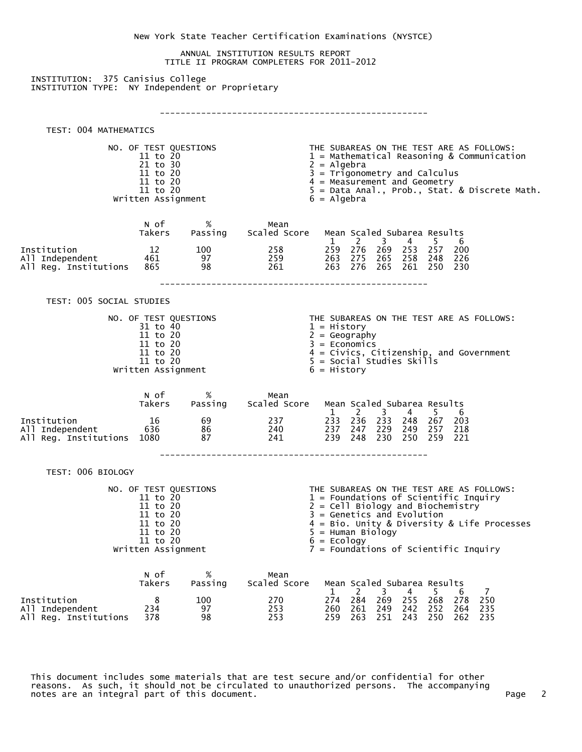|                                                 |                                   |           |                                                                                | New York State Teacher Certification Examinations (NYSTCE)                                                                  |  |  |  |  |  |  |
|-------------------------------------------------|-----------------------------------|-----------|--------------------------------------------------------------------------------|-----------------------------------------------------------------------------------------------------------------------------|--|--|--|--|--|--|
|                                                 |                                   |           | ANNUAL INSTITUTION RESULTS REPORT<br>TITLE II PROGRAM COMPLETERS FOR 2011-2012 |                                                                                                                             |  |  |  |  |  |  |
| INSTITUTION: 375 Canisius College               |                                   |           |                                                                                |                                                                                                                             |  |  |  |  |  |  |
| INSTITUTION TYPE: NY Independent or Proprietary |                                   |           |                                                                                |                                                                                                                             |  |  |  |  |  |  |
|                                                 |                                   |           |                                                                                |                                                                                                                             |  |  |  |  |  |  |
| TEST: 004 MATHEMATICS                           |                                   |           |                                                                                |                                                                                                                             |  |  |  |  |  |  |
|                                                 | NO. OF TEST QUESTIONS             |           |                                                                                | THE SUBAREAS ON THE TEST ARE AS FOLLOWS:                                                                                    |  |  |  |  |  |  |
| 11 to 20<br>21 to 30                            |                                   |           |                                                                                | $1$ = Mathematical Reasoning & Communication<br>$2 =$ Algebra                                                               |  |  |  |  |  |  |
|                                                 | 11 to 20<br>11 to 20<br>11 to 20  |           |                                                                                | $3 = \text{Trigonometry}$ and Calculus<br>$4 = Measurement$ and Geometry<br>$5 = Data Anal., Prob., Stat. & Discrete Math.$ |  |  |  |  |  |  |
|                                                 | Written Assignment                |           |                                                                                | $6 =$ Algebra                                                                                                               |  |  |  |  |  |  |
|                                                 | N of                              | %         | Mean                                                                           |                                                                                                                             |  |  |  |  |  |  |
|                                                 | Takers                            |           | Passing Scaled Score                                                           | Mean Scaled Subarea Results<br>$3 \t 4 \t 5$<br>1<br>$\overline{2}$<br>6                                                    |  |  |  |  |  |  |
| Institution<br>All Independent                  | 12<br>461                         | 100<br>97 | 258<br>259                                                                     | 259 276 269 253 257 200<br>263 275 265 258 248 226                                                                          |  |  |  |  |  |  |
| All Reg. Institutions                           | 865                               | 98        | 261                                                                            | 263 276<br>265<br>261<br>- 250<br>- 230                                                                                     |  |  |  |  |  |  |
| TEST: 005 SOCIAL STUDIES                        |                                   |           |                                                                                |                                                                                                                             |  |  |  |  |  |  |
|                                                 |                                   |           |                                                                                | THE SUBAREAS ON THE TEST ARE AS FOLLOWS:                                                                                    |  |  |  |  |  |  |
| NO. OF TEST QUESTIONS<br>31 to 40<br>11 to 20   |                                   |           |                                                                                | $1 = History$<br>$2 = Geography$                                                                                            |  |  |  |  |  |  |
|                                                 | 11 to 20<br>11 to 20              |           |                                                                                | $3 = Economics$                                                                                                             |  |  |  |  |  |  |
|                                                 | 11 to 20<br>Written Assignment    |           |                                                                                | $4 = \text{Civics}, \text{Citizenship}, \text{and Government}$<br>$5 = \text{Social Studies Skills}$<br>$6 = History$       |  |  |  |  |  |  |
|                                                 |                                   |           |                                                                                |                                                                                                                             |  |  |  |  |  |  |
|                                                 | N of<br>Takers                    | %         | Mean<br>Passing Scaled Score                                                   | Mean Scaled Subarea Results                                                                                                 |  |  |  |  |  |  |
| Institution                                     | 16                                | 69        | 237                                                                            | 2<br>$\overline{\mathbf{3}}$<br>$\overline{4}$<br>5 <sup>5</sup><br>6<br>$\mathbf{1}$<br>233 236 233 248 267 203            |  |  |  |  |  |  |
| All Independent<br>All Reg. Institutions 1080   | 636                               | 86<br>87  | 240<br>241                                                                     | 237 247 229 249<br>257<br>218<br>239<br>248<br>230<br>250<br>259<br>221                                                     |  |  |  |  |  |  |
|                                                 |                                   |           |                                                                                |                                                                                                                             |  |  |  |  |  |  |
| TEST: 006 BIOLOGY                               |                                   |           |                                                                                |                                                                                                                             |  |  |  |  |  |  |
|                                                 | NO. OF TEST QUESTIONS<br>11 to 20 |           |                                                                                | THE SUBAREAS ON THE TEST ARE AS FOLLOWS:<br>$1$ = Foundations of Scientific Inquiry                                         |  |  |  |  |  |  |
|                                                 | 11 to 20<br>11 to 20              |           |                                                                                | $2 = \text{Cell Biology}$ and Biochemistry<br>$3 = \text{Genetics}$ and Evolution                                           |  |  |  |  |  |  |
|                                                 | 11 to 20<br>11 to 20              |           |                                                                                | 4 = Bio. Unity & Diversity & Life Processes<br>$5 =$ Human Biology                                                          |  |  |  |  |  |  |
|                                                 | 11 to 20<br>Written Assignment    |           |                                                                                | $6 = Ecology$<br>7 = Foundations of Scientific Inquiry                                                                      |  |  |  |  |  |  |
|                                                 | N of                              | %         | Mean                                                                           |                                                                                                                             |  |  |  |  |  |  |
|                                                 | Takers                            | Passing   | Scaled Score                                                                   | Mean Scaled Subarea Results<br>2<br>$\overline{\mathbf{3}}$<br>4<br>$\mathbf{1}$<br>5.<br>6<br>- 7                          |  |  |  |  |  |  |
| Institution<br>All Independent                  | 8<br>234                          | 100<br>97 | 270<br>253                                                                     | 274 284 269 255 268<br>278<br>250<br>260 261 249 242<br>252<br>264<br>235                                                   |  |  |  |  |  |  |
| All Reg. Institutions                           | 378                               | 98        | 253                                                                            | 259 263 251 243 250 262 235                                                                                                 |  |  |  |  |  |  |

 This document includes some materials that are test secure and/or confidential for other reasons. As such, it should not be circulated to unauthorized persons. The accompanying notes are an integral part of this document.  $\qquad \qquad$  Page 2  $\qquad \qquad$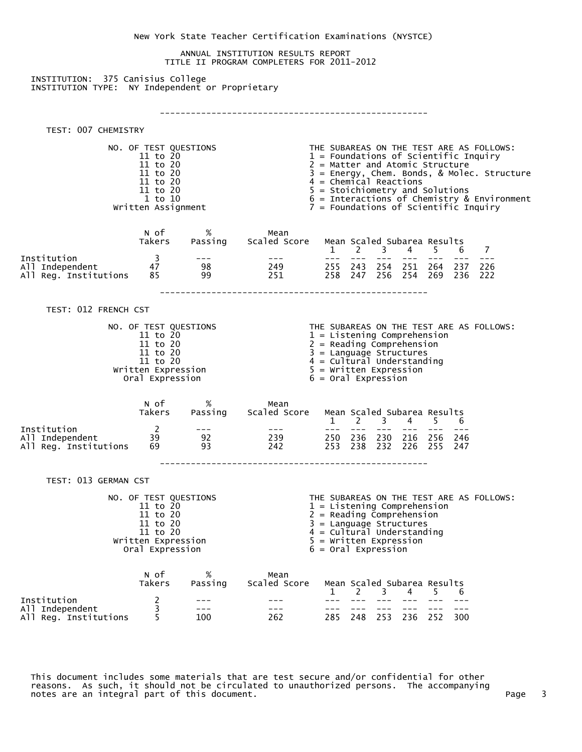New York State Teacher Certification Examinations (NYSTCE) ANNUAL INSTITUTION RESULTS REPORT TITLE II PROGRAM COMPLETERS FOR 2011-2012 INSTITUTION: 375 Canisius College INSTITUTION TYPE: NY Independent or Proprietary ---------------------------------------------------- TEST: 007 CHEMISTRY NO. OF TEST QUESTIONS THE SUBAREAS ON THE TEST ARE AS FOLLOWS:<br>11 to 20 1 - Foundations of Scientific Inquiry<br>2 = Matter and Atomic Structure  $1$  = Foundations of Scientific Inquiry 11 to 20 2 = Matter and Atomic Structure<br>11 to 20 3 = Energy, Chem. Bonds, & Moleo 11 to 20 3 = Energy, Chem. Bonds, & Molec. Structure  $11$  to  $20$   $4$  = Chemical Reactions 11 to 20  $\begin{array}{ccc} 11 \text{ to } 20 & 4 = \text{Chemical Reactions} \\ 11 \text{ to } 20 & 5 = \text{Stoichiometry and Solutions} \\ 1 \text{ to } 10 & 6 = \text{Interactions of Chemistry &} \end{array}$  $\begin{array}{rcl}\n\text{I} & \text{t}_0 & \text{I0} \\
\text{I} & \text{t}_0 & \text{I0}\n\end{array}$  To  $\begin{array}{rcl}\n\text{I} & \text{t}_0 & \text{I0} \\
\text{I} & \text{t}_0 & \text{I0}\n\end{array}$   $\begin{array}{rcl}\n\text{I} & \text{t}_0 & \text{t}_0 \\
\text{I} & \text{t}_0 & \text{t}_0 \\
\text{I} & \text{t}_0 & \text{t}_0 \\
\text{I} & \text{t}_0 & \text{t}_0\n\end{array}$  $7$  = Foundations of Scientific Inquiry N of % Mean Takers Passing Scaled Score Mean Scaled Subarea Results  $1 \t2 \t3 \t4 \t5 \t6 \t7$ Institution 3 --- --- --- --- --- --- --- --- --- All Independent 47 98 249 255 243 254 251 264 237 226 All Reg. Institutions ---------------------------------------------------- TEST: 012 FRENCH CST NO. OF TEST QUESTIONS THE SUBAREAS ON THE TEST ARE AS FOLLOWS:<br>1 = Listening Comprehension 11 to 20 1 = Listening Comprehension<br>11 to 20 2 = Reading Comprehension  $2 =$  Reading Comprehension  $11$  to  $20$   $3$  = Language Structures 11 to 20 4 = Cultural Understanding Written Expression  $5 =$  Written Expression  $6 =$  Oral Expression  $6 = 0$ ral Expression N of % Mean Takers Passing Scaled Score Mean Scaled Subarea Results 1 2 3 4 5 6 Institution 2 --- --- --- --- --- --- --- --- All Independent 39 92 239 250 236 230 216 256 246 All Reg. Institutions ---------------------------------------------------- TEST: 013 GERMAN CST NO. OF TEST QUESTIONS THE SUBAREAS ON THE TEST ARE AS FOLLOWS:  $1 =$  Listening Comprehension 11 to 20 2 = Reading Comprehension<br>11 to 20 3 = Language Structures 11 to 20  $3 =$  Language Structures<br>11 to 20  $4 =$  Cultural Understand  $4 = \text{Cultural Understanding}$ Written Expression  $5 =$  Written Expression oral Expression  $6 =$  Oral Expression  $6 = 0$ ral Expression N of % Mean Takers Passing Scaled Score Mean Scaled Subarea Results 1 2 3 4 5 6 Institution 2 --- --- --- --- --- --- --- --- All Independent 3 --- --- --- --- --- --- --- ---

 This document includes some materials that are test secure and/or confidential for other reasons. As such, it should not be circulated to unauthorized persons. The accompanying notes are an integral part of this document. Page 3 and the state of the state of the state of the state 3 and

All Reg. Institutions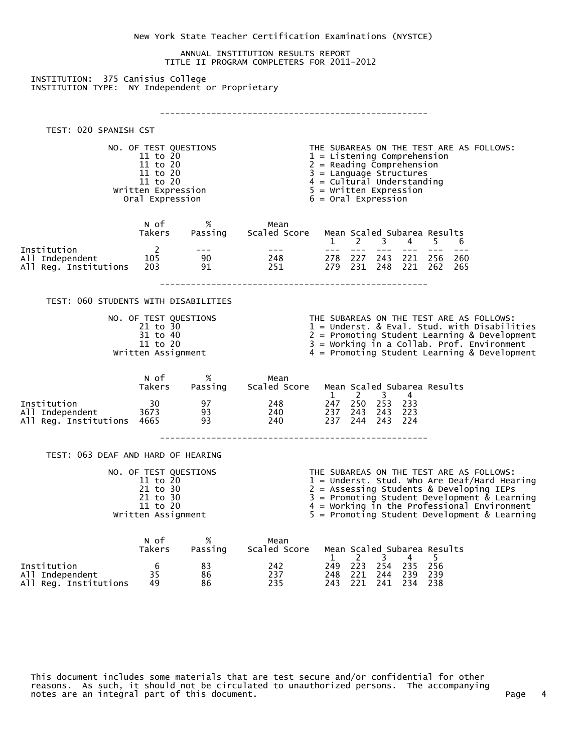New York State Teacher Certification Examinations (NYSTCE) ANNUAL INSTITUTION RESULTS REPORT TITLE II PROGRAM COMPLETERS FOR 2011-2012 INSTITUTION: 375 Canisius College INSTITUTION TYPE: NY Independent or Proprietary ---------------------------------------------------- TEST: 020 SPANISH CST NO. OF TEST QUESTIONS THE SUBAREAS ON THE TEST ARE AS FOLLOWS:<br>11 to 20 1 = Listening Comprehension<br>2 = Reading Comprehension  $1 =$  Listening Comprehension 11 to 20  $2 =$  Reading Comprehension<br>11 to 20  $3 =$  Language Structures 11 to 20 <br>11 to 20 <br>11 to 20 <br>11 to 20 <br>11 to 20 <br>11 to 20 <br>11 to 20 <br>11 to 20 <br>11 to 20 <br>11 to 20 <br>11 to 20 <br>11 to 20 <br>11 to 20 <br>11 to 20 <br>11 to 20 <br>11 to 20 <br>11 to 20 <br>11 to 20 <br>11 to 20 <br>11 to 20 <br>11 to 20 <br>12 to 20 <br>20 11 to 20 <br>Written Expression 5 = Written Expression 5 = Written Expression Written Expression 5 = Written Expression  $6 = 0$ ral Expression N of % Mean Takers Passing Scaled Score Mean Scaled Subarea Results 1 2 3 4 5 6 Institution 2 --- --- --- --- --- --- --- --- All Independent 105 105 90 248 278 227 243 221 256 260<br>All Reg. Institutions 203 91 251 279 231 248 221 262 265 All Reg. Institutions ---------------------------------------------------- TEST: 060 STUDENTS WITH DISABILITIES NO. OF TEST QUESTIONS THE SUBAREAS ON THE TEST ARE AS FOLLOWS:<br>21 to 30 1 = Underst. & Eval. Stud. with Disabili 21 to 30 1 = Underst. & Eval. Stud. with Disabilities 31 to 40 2 = Promoting Student Learning & Development 11 to 20 3 = Working in a Collab. Prof. Environment Written Assignment 4 = Promoting Student Learning & Development N of % Mean Takers Passing Scaled Score Mean Scaled Subarea Results 1 2 3 4<br>30 97 248 247 250 253 233 Institution 30 97 248 247 250 253 233 All Independent 3673 93 240 237 243 243 223 All Reg. Institutions ---------------------------------------------------- TEST: 063 DEAF AND HARD OF HEARING NO. OF TEST QUESTIONS THE SUBAREAS ON THE TEST ARE AS FOLLOWS:  $11$  to  $20$   $1$  = Underst. Stud. Who Are Deaf/Hard Hearing 21 to 30 2 = Assessing Students & Developing IEPs 21 to 30 3 = Promoting Student Development & Learning 11 to 20 4 = Working in the Professional Environment Written Assignment 5 = Promoting Student Development & Learning N of % Mean Takers Passing Scaled-Score Mean-Scaled-Subarea-Results<br>6 83 242 249 223 254 235 256 1 2 3 4 5 Institution 6 83 242 249 223 254 235 256 All Independent 35 86 237 248 221 244 239 239

 This document includes some materials that are test secure and/or confidential for other reasons. As such, it should not be circulated to unauthorized persons. The accompanying notes are an integral part of this document. Page 4 and the state of this control of the state of the state of

All Reg. Institutions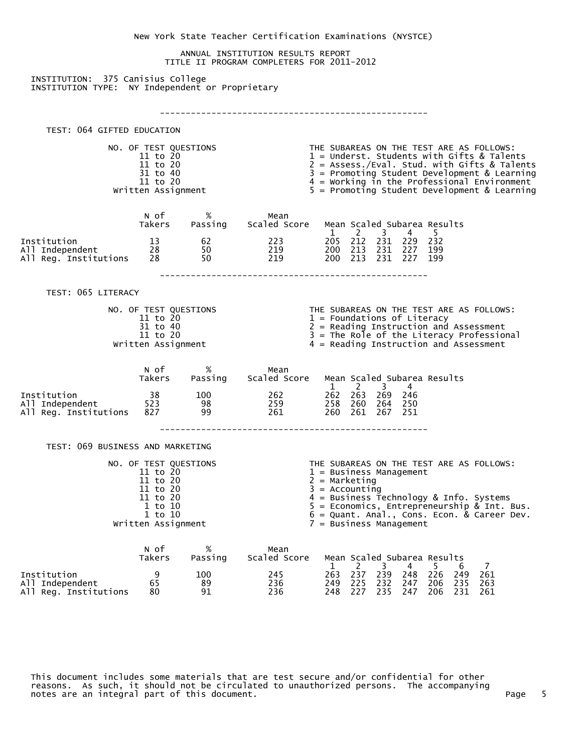New York State Teacher Certification Examinations (NYSTCE) ANNUAL INSTITUTION RESULTS REPORT TITLE II PROGRAM COMPLETERS FOR 2011-2012 INSTITUTION: 375 Canisius College INSTITUTION TYPE: NY Independent or Proprietary ---------------------------------------------------- TEST: 064 GIFTED EDUCATION NO. OF TEST QUESTIONS THE SUBAREAS ON THE TEST ARE AS FOLLOWS:<br>11 to 20 11 to 20 11 to 20 2 = Assess./Eval. Students with Gifts & Tal  $11$  to  $20$   $1$  = Underst. Students with Gifts & Talents  $11$  to  $20$   $2$   $=$  Assess./Eval. Stud. with Gifts & Talents 31 to 40 3 = Promoting Student Development & Learning 11 to 20 1 = Working in the Professional Environment<br>Written Assignment 4 = Promoting Student Development & Learning  $5$  = Promoting Student Development & Learning N of % Mean Takers Passing Scaled Score Mean Scaled Subarea Results 1 2 3 4 5 Institution 13 62 223 205 212 231 229 232 All Independent 28 50 219 200 213 231 227 199 All Reg. Institutions ---------------------------------------------------- TEST: 065 LITERACY NO. OF TEST QUESTIONS THE SUBAREAS ON THE TEST ARE AS FOLLOWS:<br>1 = Foundations of Literacy 11 to 20 1 = Foundations of Literacy<br>31 to 40 2 = Reading Instruction and  $31$  to  $40$ <br> $3 =$  Reading Instruction and Assessment<br> $3 =$  The Role of the Literacy Profession 11 to 20 3 = The Role of the Literacy Professional Written Assignment<br>4 = Reading Instruction and Assessment  $4$  = Reading Instruction and Assessment N of % Mean Takers Passing Scaled Score Mean Scaled Subarea Results  $1 \quad 2 \quad 3 \quad 4$ Institution 38 100 262 262 263 269 246 All Independent 523 98 259 258 260 264 250 All Reg. Institutions ---------------------------------------------------- TEST: 069 BUSINESS AND MARKETING NO. OF TEST QUESTIONS THE SUBAREAS ON THE TEST ARE AS FOLLOWS:<br>11 to 20 1 = Business Management<br>2 = Marketing  $1 =$  Business Management 11 to 20  $2 =$  Marketing<br>11 to 20  $3 =$  Accounting 11 to 20 <br>11 to 20 <br>11 to 20 <br>1 a Business T 11 to 20 4 = Business Technology & Info. Systems  $1$  to  $10$   $5$   $=$  Economics, Entrepreneurship & Int. Bus.  $1\ \text{to}\ \ 10$  6 = Quant. Anal., Cons. Econ. & Career Dev. Written Assignment 7 = Business Management N of % Mean Takers Passing Scaled-Score Mean-Scaled-Subarea-Results<br>1 2 3 4 5 6<br>24 263 237 239 248 226 24  $1 \t2 \t3 \t4 \t5 \t6 \t7$ Institution 9 100 245 263 237 239 248 226 249 261 All Independent 65 89 236 249 225 232 247 206 235 263 All Reg. Institutions

 This document includes some materials that are test secure and/or confidential for other reasons. As such, it should not be circulated to unauthorized persons. The accompanying notes are an integral part of this document. Page 5 and the state of the state of the state of the state of th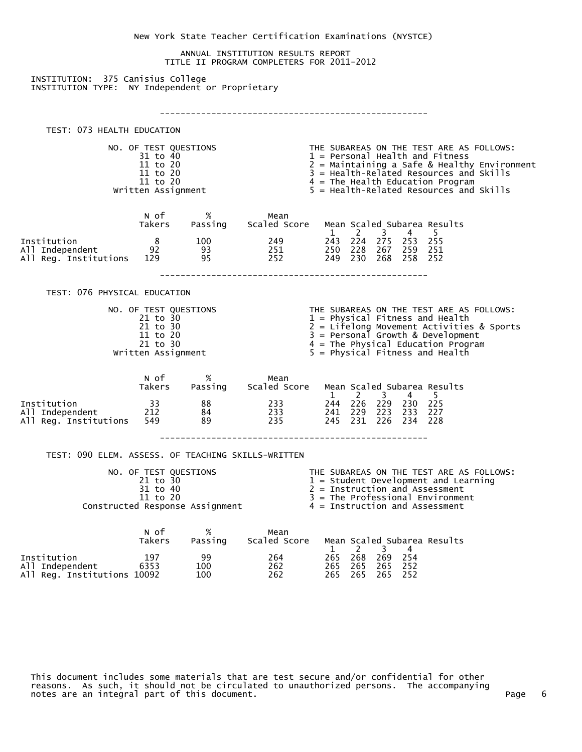New York State Teacher Certification Examinations (NYSTCE) ANNUAL INSTITUTION RESULTS REPORT TITLE II PROGRAM COMPLETERS FOR 2011-2012 INSTITUTION: 375 Canisius College INSTITUTION TYPE: NY Independent or Proprietary ---------------------------------------------------- TEST: 073 HEALTH EDUCATION NO. OF TEST QUESTIONS THE SUBAREAS ON THE TEST ARE AS FOLLOWS:  $1$  = Personal Health and Fitness 11 to 20 2 = Maintaining a Safe & Healthy Environment<br>11 to 20 3 = Health-Related Resources and Skills 11 to 20 3 = Health-Related Resources and Skills<br>11 to 20 3 = The Health Education Program 11 to 20 11 to 20 1 = The Health Education Program<br>Written Assignment 5 = Health-Related Resources and  $5$  = Health-Related Resources and Skills N of % Mean Takers Passing Scaled Score Mean Scaled Subarea Results 1 2 3 4 5 Institution 8 100 249 243 224 275 253 255 All Independent 92 93 251 250 228 267 259 251 All Reg. Institutions 129 95 252 249 230 268 258 252 ---------------------------------------------------- TEST: 076 PHYSICAL EDUCATION NO. OF TEST QUESTIONS THE SUBAREAS ON THE TEST ARE AS FOLLOWS:<br>21 to 30 1 = Physical Fitness and Health 21 to 30 1 = Physical Fitness and Health<br>21 to 30 2 = Lifelong Movement Activities 21 to 30 2 = Lifelong Movement Activities & Sports 11 to 20 3 = Personal Growth & Development 21 to 30 <br>A = The Physical Education Program<br> $5 =$  Physical Fitness and Health<br> $5 =$  Physical Fitness and Health  $5$  = Physical Fitness and Health N of % Mean Takers Passing Scaled Score Mean Scaled Subarea Results 1 2 3 4 5<br>33 88 233 244 226 229 230 225 Institution 33 88 233 244 226 229 230 225 All Independent 212 84 233 241 229 223 233 227 All Reg. Institutions ---------------------------------------------------- TEST: 090 ELEM. ASSESS. OF TEACHING SKILLS-WRITTEN NO. OF TEST QUESTIONS THE SUBAREAS ON THE TEST ARE AS FOLLOWS:<br>21 to 30 1 = Student Development and Learning 21 to 30  $1 =$  Student Development and Learning<br>31 to 40  $2 =$  Instruction and Assessment  $31$  to  $40$ <br> $3 =$ The Professional Environment<br> $3 =$ The Professional Environment  $3 =$  The Professional Environment<br> $4 =$  Instruction and Assessment Constructed Response Assignment N of % Mean Takers Passing Scaled Score Mean Scaled Subarea Results  $1 \quad 2 \quad 3 \quad 4$ Institution 197 99 264 265 268 269 254 All Independent 6353 100 262 265 265 265 252

 This document includes some materials that are test secure and/or confidential for other reasons. As such, it should not be circulated to unauthorized persons. The accompanying notes are an integral part of this document. Page 6 and the state of this control of the page 6

All Reg. Institutions 10092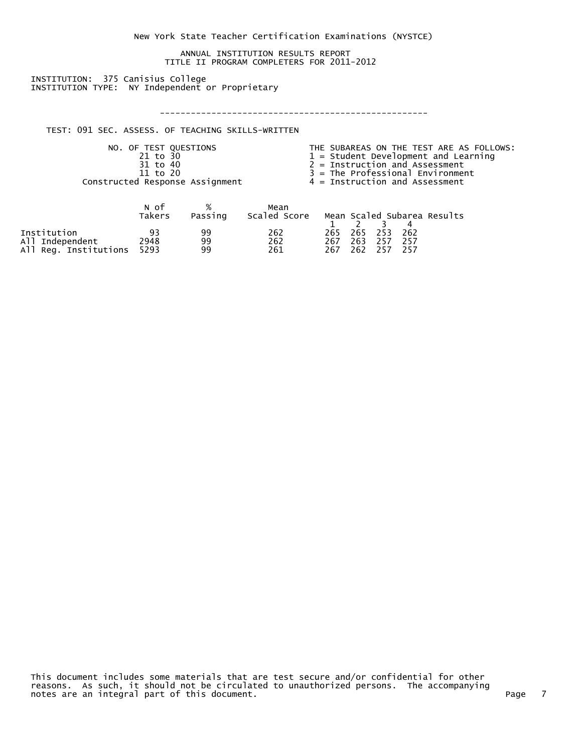New York State Teacher Certification Examinations (NYSTCE)

 ANNUAL INSTITUTION RESULTS REPORT TITLE II PROGRAM COMPLETERS FOR 2011-2012

 INSTITUTION: 375 Canisius College INSTITUTION TYPE: NY Independent or Proprietary

----------------------------------------------------

TEST: 091 SEC. ASSESS. OF TEACHING SKILLS-WRITTEN

NO. OF TEST QUESTIONS THE SUBAREAS ON THE TEST ARE AS FOLLOWS:<br>21 to 30 1 = Student Development and Learning<br>31 to 40 2 = Instruction and Assessment  $1$  = Student Development and Learning  $\begin{array}{rcl}\n\overline{31} & \text{to} & 40 \\
\overline{31} & \text{to} & 40\n\end{array}$   $\begin{array}{rcl}\n\overline{31} & \text{to} & 40 \\
\overline{3} & = \text{The Professional Environment} \\
\overline{3} & = \text{The Professional Environment}\n\end{array}$  $3 =$ The Professional Environment<br> $4 =$ Instruction and Assessment Constructed Response Assignment

|                       | N of<br>Takers | Passing | Mean<br>Scaled Score |     |     |             |      | Mean Scaled Subarea Results |
|-----------------------|----------------|---------|----------------------|-----|-----|-------------|------|-----------------------------|
|                       |                |         |                      |     |     |             |      |                             |
| Institution           | 93             | qq      | 262                  |     |     | 265 265 253 | -262 |                             |
| All Independent       | 2948           | 99      | 262                  | 267 | 263 | -257        | -257 |                             |
| All Reg. Institutions | 5293           | 99.     | 261                  | 267 | 262 | 257         | -257 |                             |

 This document includes some materials that are test secure and/or confidential for other reasons. As such, it should not be circulated to unauthorized persons. The accompanying notes are an integral part of this document.  $\hbox{Poisson}$  and  $\hbox{Poisson}$  and  $\hbox{Poisson}$